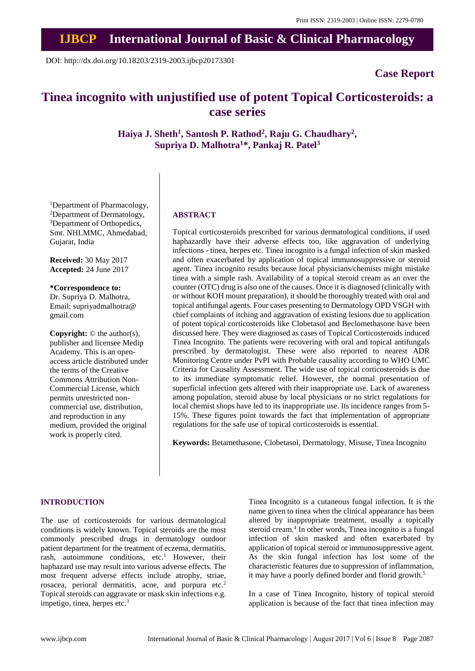# **IJBCP International Journal of Basic & Clinical Pharmacology**

DOI: http://dx.doi.org/10.18203/2319-2003.ijbcp20173301

# **Case Report**

# **Tinea incognito with unjustified use of potent Topical Corticosteroids: a case series**

**Haiya J. Sheth<sup>1</sup> , Santosh P. Rathod<sup>2</sup> , Raju G. Chaudhary<sup>2</sup> , Supriya D. Malhotra<sup>1</sup>\*, Pankaj R. Patel<sup>3</sup>**

<sup>1</sup>Department of Pharmacology, <sup>2</sup>Department of Dermatology, <sup>3</sup>Department of Orthopedics, Smt. NHLMMC, Ahmedabad, Gujarat, India

**Received:** 30 May 2017 **Accepted:** 24 June 2017

**\*Correspondence to:** Dr. Supriya D. Malhotra, Email: supriyadmalhotra@ gmail.com

**Copyright:** © the author(s), publisher and licensee Medip Academy. This is an openaccess article distributed under the terms of the Creative Commons Attribution Non-Commercial License, which permits unrestricted noncommercial use, distribution, and reproduction in any medium, provided the original work is properly cited.

# **ABSTRACT**

Topical corticosteroids prescribed for various dermatological conditions, if used haphazardly have their adverse effects too, like aggravation of underlying infections - tinea, herpes etc. Tinea incognito is a fungal infection of skin masked and often exacerbated by application of topical immunosuppressive or steroid agent. Tinea incognito results because local physicians/chemists might mistake tinea with a simple rash. Availability of a topical steroid cream as an over the counter (OTC) drug is also one of the causes. Once it is diagnosed (clinically with or without KOH mount preparation), it should be thoroughly treated with oral and topical antifungal agents. Four cases presenting to Dermatology OPD VSGH with chief complaints of itching and aggravation of existing lesions due to application of potent topical corticosteroids like Clobetasol and Beclomethasone have been discussed here. They were diagnosed as cases of Topical Corticosteroids induced Tinea Incognito. The patients were recovering with oral and topical antifungals prescribed by dermatologist. These were also reported to nearest ADR Monitoring Centre under PvPI with Probable causality according to WHO UMC Criteria for Causality Assessment. The wide use of topical corticosteroids is due to its immediate symptomatic relief. However, the normal presentation of superficial infection gets altered with their inappropriate use. Lack of awareness among population, steroid abuse by local physicians or no strict regulations for local chemist shops have led to its inappropriate use. Its incidence ranges from 5- 15%. These figures point towards the fact that implementation of appropriate regulations for the safe use of topical corticosteroids is essential.

**Keywords:** Betamethasone, Clobetasol, Dermatology, Misuse, Tinea Incognito

# **INTRODUCTION**

The use of corticosteroids for various dermatological conditions is widely known. Topical steroids are the most commonly [prescribed](https://en.wikipedia.org/wiki/Medical_prescription) [drugs](https://en.wikipedia.org/wiki/Medical_prescription) in dermatology outdoor patient department for the treatment of [eczema,](https://en.wikipedia.org/wiki/Eczema) [dermatitis,](https://en.wikipedia.org/wiki/Dermatitis) [rash,](https://en.wikipedia.org/wiki/Rash) autoimmune conditions, etc. <sup>1</sup> However, their haphazard use may result into various adverse effects. The most frequent adverse effects include atrophy, striae, rosacea, perioral dermatitis, acne, and purpura etc.<sup>2</sup> Topical steroids can aggravate or mask skin infections e.g. [impetigo,](http://www.dermnetnz.org/topics/impetigo/) [tinea,](http://www.dermnetnz.org/topics/tinea-incognito/) herpes etc. $3$ 

Tinea Incognito is a cutaneous fungal infection. It is the name given to tinea when the clinical appearance has been altered by inappropriate treatment, usually a topically steroid cream. 4 In other words, Tinea incognito is a fungal infection of skin masked and often exacerbated by application of topical steroid or immunosuppressive agent. As the skin fungal infection has lost some of the characteristic features due to suppression of [inflammation,](https://en.wikipedia.org/wiki/Inflammation) it may have a poorly defined border and [florid](https://en.wikipedia.org/wiki/Ruddy) growth.<sup>5</sup>

In a case of Tinea Incognito, history of topical steroid application is because of the fact that tinea infection may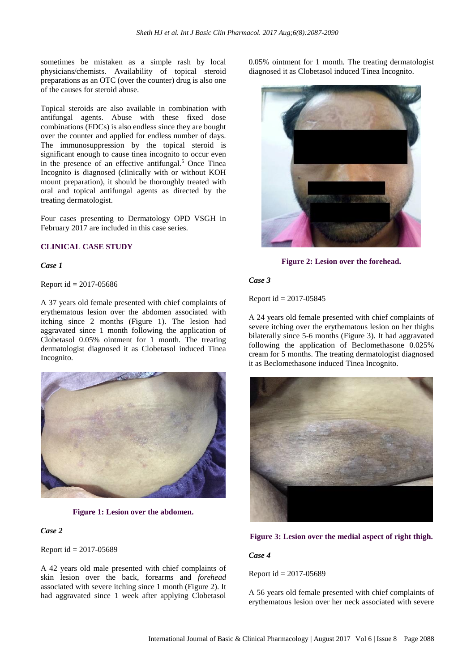sometimes be mistaken as a simple rash by local physicians/chemists. Availability of topical steroid preparations as an OTC (over the counter) drug is also one of the causes for steroid abuse.

Topical steroids are also available in combination with antifungal agents. Abuse with these fixed dose combinations (FDCs) is also endless since they are bought over the counter and applied for endless number of days. The immunosuppression by the topical steroid is significant enough to cause tinea incognito to occur even in the presence of an effective antifungal. <sup>5</sup> Once Tinea Incognito is diagnosed (clinically with or without KOH mount preparation), it should be thoroughly treated with oral and topical antifungal agents as directed by the treating dermatologist.

Four cases presenting to Dermatology OPD VSGH in February 2017 are included in this case series.

# **CLINICAL CASE STUDY**

#### *Case 1*

Report  $id = 2017 - 05686$ 

A 37 years old female presented with chief complaints of erythematous lesion over the abdomen associated with itching since 2 months (Figure 1). The lesion had aggravated since 1 month following the application of Clobetasol 0.05% ointment for 1 month. The treating dermatologist diagnosed it as Clobetasol induced Tinea Incognito.



**Figure 1: Lesion over the abdomen.**

#### *Case 2*

Report id = 2017-05689

A 42 years old male presented with chief complaints of skin lesion over the back, forearms and *forehead* associated with severe itching since 1 month (Figure 2). It had aggravated since 1 week after applying Clobetasol 0.05% ointment for 1 month. The treating dermatologist diagnosed it as Clobetasol induced Tinea Incognito.



**Figure 2: Lesion over the forehead.**

#### *Case 3*

Report id = 2017-05845

A 24 years old female presented with chief complaints of severe itching over the erythematous lesion on her thighs bilaterally since 5-6 months (Figure 3). It had aggravated following the application of Beclomethasone 0.025% cream for 5 months. The treating dermatologist diagnosed it as Beclomethasone induced Tinea Incognito.





# *Case 4*

Report id = 2017-05689

A 56 years old female presented with chief complaints of erythematous lesion over her neck associated with severe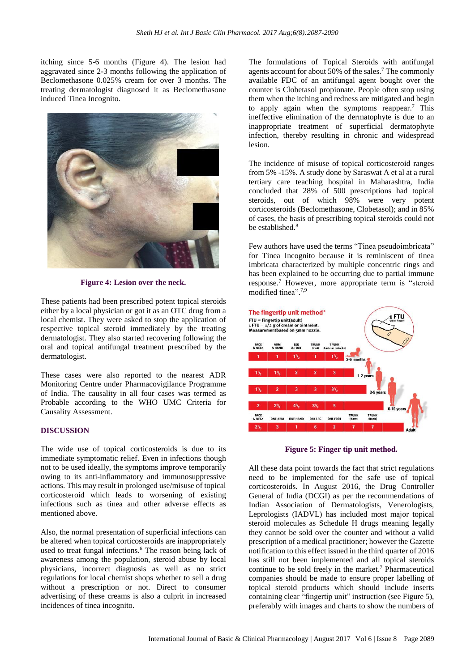itching since 5-6 months (Figure 4). The lesion had aggravated since 2-3 months following the application of Beclomethasone 0.025% cream for over 3 months. The treating dermatologist diagnosed it as Beclomethasone induced Tinea Incognito.



**Figure 4: Lesion over the neck.**

These patients had been prescribed potent topical steroids either by a local physician or got it as an OTC drug from a local chemist. They were asked to stop the application of respective topical steroid immediately by the treating dermatologist. They also started recovering following the oral and topical antifungal treatment prescribed by the dermatologist.

These cases were also reported to the nearest ADR Monitoring Centre under Pharmacovigilance Programme of India. The causality in all four cases was termed as Probable according to the WHO UMC Criteria for Causality Assessment.

## **DISCUSSION**

The wide use of topical corticosteroids is due to its immediate symptomatic relief. Even in infections though not to be used ideally, the symptoms improve temporarily owing to its anti-inflammatory and immunosuppressive actions. This may result in prolonged use/misuse of topical corticosteroid which leads to worsening of existing infections such as tinea and other adverse effects as mentioned above.

Also, the normal presentation of superficial infections can be altered when topical corticosteroids are inappropriately used to treat fungal infections. <sup>6</sup> The reason being lack of awareness among the population, steroid abuse by local physicians, incorrect diagnosis as well as no strict regulations for local chemist shops whether to sell a drug without a prescription or not. Direct to consumer advertising of these creams is also a culprit in increased incidences of tinea incognito.

The formulations of Topical Steroids with antifungal agents account for about 50% of the sales.<sup>7</sup> The commonly available FDC of an antifungal agent bought over the counter is Clobetasol propionate. People often stop using them when the itching and redness are mitigated and begin to apply again when the symptoms reappear. <sup>7</sup> This ineffective elimination of the dermatophyte is due to an inappropriate treatment of superficial dermatophyte infection, thereby resulting in chronic and widespread lesion.

The incidence of misuse of topical corticosteroid ranges from 5% -15%. A study done by Saraswat A et al at a rural tertiary care teaching hospital in Maharashtra, India concluded that 28% of 500 prescriptions had topical steroids, out of which 98% were very potent corticosteroids (Beclomethasone, Clobetasol); and in 85% of cases, the basis of prescribing topical steroids could not be established. 8

Few authors have used the terms "Tinea pseudoimbricata" for Tinea Incognito because it is reminiscent of tinea imbricata characterized by multiple concentric rings and has been explained to be occurring due to partial immune response. <sup>7</sup> However, more appropriate term is "steroid modified tinea". 7,9



**Figure 5: Finger tip unit method.**

All these data point towards the fact that strict regulations need to be implemented for the safe use of topical corticosteroids. In August 2016, the Drug Controller General of India (DCGI) as per the recommendations of Indian Association of Dermatologists, Venerologists, Leprologists (IADVL) has included most major topical steroid molecules as Schedule H drugs meaning legally they cannot be sold over the counter and without a valid prescription of a medical practitioner; however the Gazette notification to this effect issued in the third quarter of 2016 has still not been implemented and all topical steroids continue to be sold freely in the market. <sup>7</sup> Pharmaceutical companies should be made to ensure proper labelling of topical steroid products which should include inserts containing clear "fingertip unit" instruction (see Figure 5), preferably with images and charts to show the numbers of